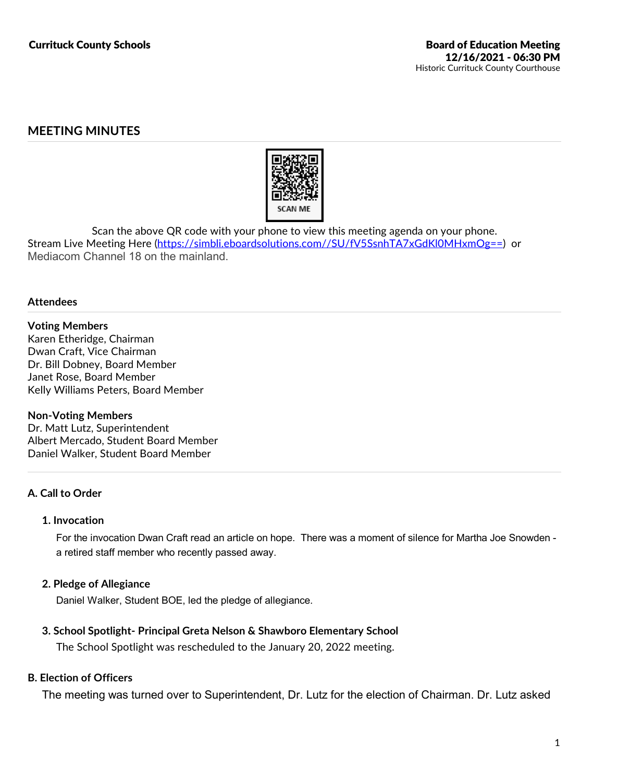# **MEETING MINUTES**



Scan the above QR code with your phone to view this meeting agenda on your phone.<br>Stream Live Meeting Here (https://simbli.eboardsolutions.com//SU/fV5SsnhTA7xGdKl0MHxmOg==) or Mediacom Channel 18 on the mainland.

### **Attendees**

**Voting Members** Karen Etheridge, Chairman Dwan Craft, Vice Chairman Dr. Bill Dobney, Board Member Janet Rose, Board Member Kelly Williams Peters, Board Member

### **Non-Voting Members**

Dr. Matt Lutz, Superintendent Albert Mercado, Student Board Member Daniel Walker, Student Board Member

## **A. Call to Order**

### **1. Invocation**

For the invocation Dwan Craft read an article on hope. There was a moment of silence for Martha Joe Snowden a retired staff member who recently passed away.

## **2. Pledge of Allegiance**

Daniel Walker, Student BOE, led the pledge of allegiance.

## **3. School Spotlight- Principal Greta Nelson & Shawboro Elementary School**

The School Spotlight was rescheduled to the January 20, 2022 meeting.

## **B. Election of Officers**

The meeting was turned over to Superintendent, Dr. Lutz for the election of Chairman. Dr. Lutz asked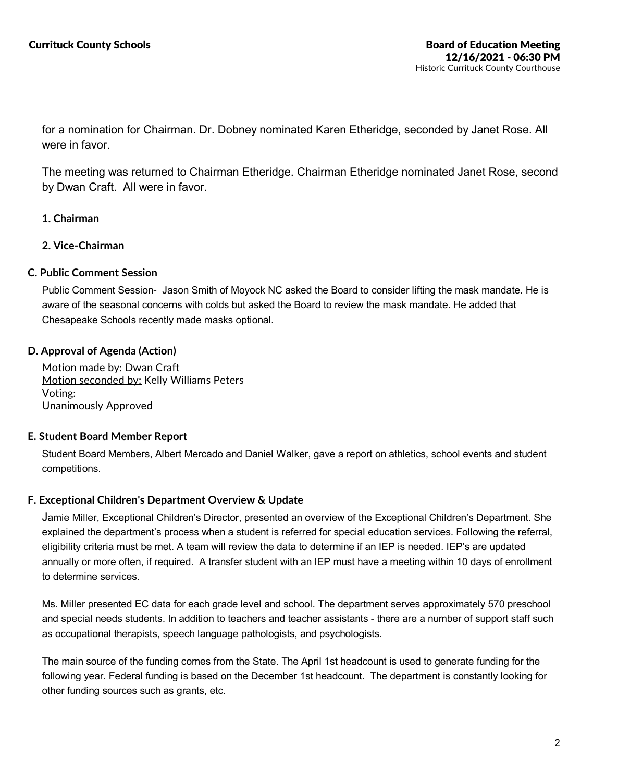for a nomination for Chairman. Dr. Dobney nominated Karen Etheridge, seconded by Janet Rose. All were in favor.

The meeting was returned to Chairman Etheridge. Chairman Etheridge nominated Janet Rose, second by Dwan Craft. All were in favor.

- **1. Chairman**
- **2. Vice-Chairman**

## **C. Public Comment Session**

Public Comment Session- Jason Smith of Moyock NC asked the Board to consider lifting the mask mandate. He is aware of the seasonal concerns with colds but asked the Board to review the mask mandate. He added that Chesapeake Schools recently made masks optional.

## **D. Approval of Agenda (Action)**

Motion made by: Dwan Craft Motion seconded by: Kelly Williams Peters Voting: Unanimously Approved

## **E. Student Board Member Report**

Student Board Members, Albert Mercado and Daniel Walker, gave a report on athletics, school events and student competitions.

## **F. Exceptional Children's Department Overview & Update**

Jamie Miller, Exceptional Children's Director, presented an overview of the Exceptional Children's Department. She explained the department's process when a student is referred for special education services. Following the referral, eligibility criteria must be met. A team will review the data to determine if an IEP is needed. IEP's are updated annually or more often, if required. A transfer student with an IEP must have a meeting within 10 days of enrollment to determine services.

Ms. Miller presented EC data for each grade level and school. The department serves approximately 570 preschool and special needs students. In addition to teachers and teacher assistants - there are a number of support staff such as occupational therapists, speech language pathologists, and psychologists.

The main source of the funding comes from the State. The April 1st headcount is used to generate funding for the following year. Federal funding is based on the December 1st headcount. The department is constantly looking for other funding sources such as grants, etc.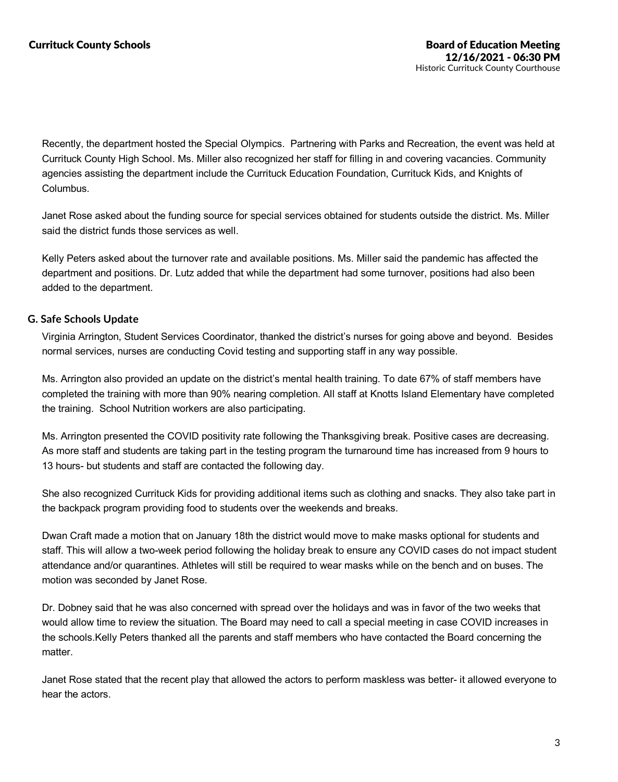Recently, the department hosted the Special Olympics. Partnering with Parks and Recreation, the event was held at Currituck County High School. Ms. Miller also recognized her staff for filling in and covering vacancies. Community agencies assisting the department include the Currituck Education Foundation, Currituck Kids, and Knights of Columbus.

Janet Rose asked about the funding source for special services obtained for students outside the district. Ms. Miller said the district funds those services as well

Kelly Peters asked about the turnover rate and available positions. Ms. Miller said the pandemic has affected the department and positions. Dr. Lutz added that while the department had some turnover, positions had also been added to the department.

## **G. Safe Schools Update**

Virginia Arrington, Student Services Coordinator, thanked the district's nurses for going above and beyond. Besides normal services, nurses are conducting Covid testing and supporting staff in any way possible.

Ms. Arrington also provided an update on the district's mental health training. To date 67% of staff members have completed the training with more than 90% nearing completion. All staff at Knotts Island Elementary have completed the training. School Nutrition workers are also participating.

Ms. Arrington presented the COVID positivity rate following the Thanksgiving break. Positive cases are decreasing. As more staff and students are taking part in the testing program the turnaround time has increased from 9 hours to 13 hours- but students and staff are contacted the following day.

She also recognized Currituck Kids for providing additional items such as clothing and snacks. They also take part in the backpack program providing food to students over the weekends and breaks.

Dwan Craft made a motion that on January 18th the district would move to make masks optional for students and staff. This will allow a two-week period following the holiday break to ensure any COVID cases do not impact student attendance and/or quarantines. Athletes will still be required to wear masks while on the bench and on buses. The motion was seconded by Janet Rose.

Dr. Dobney said that he was also concerned with spread over the holidays and was in favor of the two weeks that would allow time to review the situation. The Board may need to call a special meeting in case COVID increases in the schools.Kelly Peters thanked all the parents and staff members who have contacted the Board concerning the matter.

Janet Rose stated that the recent play that allowed the actors to perform maskless was better- it allowed everyone to hear the actors.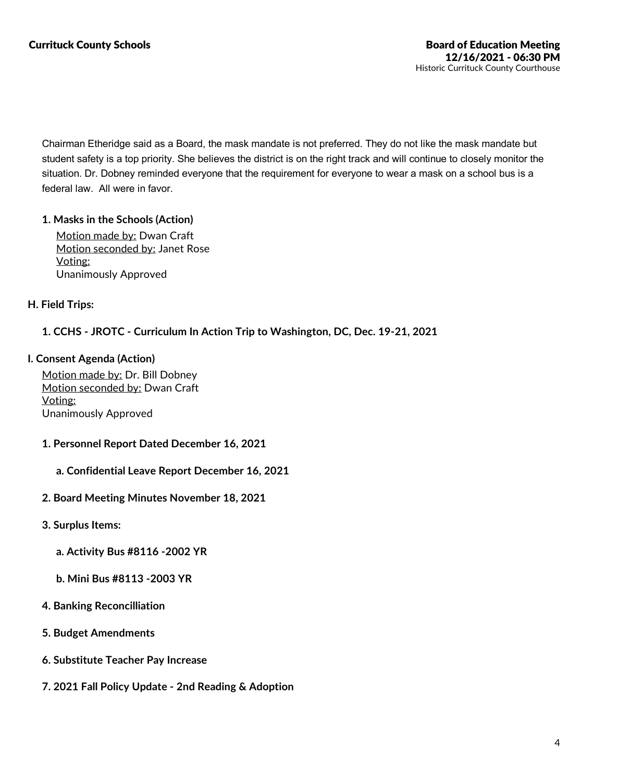Chairman Etheridge said as a Board, the mask mandate is not preferred. They do not like the mask mandate but student safety is a top priority. She believes the district is on the right track and will continue to closely monitor the situation. Dr. Dobney reminded everyone that the requirement for everyone to wear a mask on a school bus is a federal law. All were in favor.

## **1. Masks in the Schools (Action)**

Motion made by: Dwan Craft Motion seconded by: Janet Rose Voting: Unanimously Approved

## **H. Field Trips:**

## **1. CCHS - JROTC - Curriculum In Action Trip to Washington, DC, Dec. 19-21, 2021**

### **I. Consent Agenda (Action)**

Motion made by: Dr. Bill Dobney Motion seconded by: Dwan Craft Voting: Unanimously Approved

- **1. Personnel Report Dated December 16, 2021**
	- **a. Confidential Leave Report December 16, 2021**
- **2. Board Meeting Minutes November 18, 2021**
- **3. Surplus Items:**
	- **a. Activity Bus #8116 -2002 YR**
	- **b. Mini Bus #8113 -2003 YR**
- **4. Banking Reconcilliation**
- **5. Budget Amendments**
- **6. Substitute Teacher Pay Increase**
- **7. 2021 Fall Policy Update -2nd Reading & Adoption**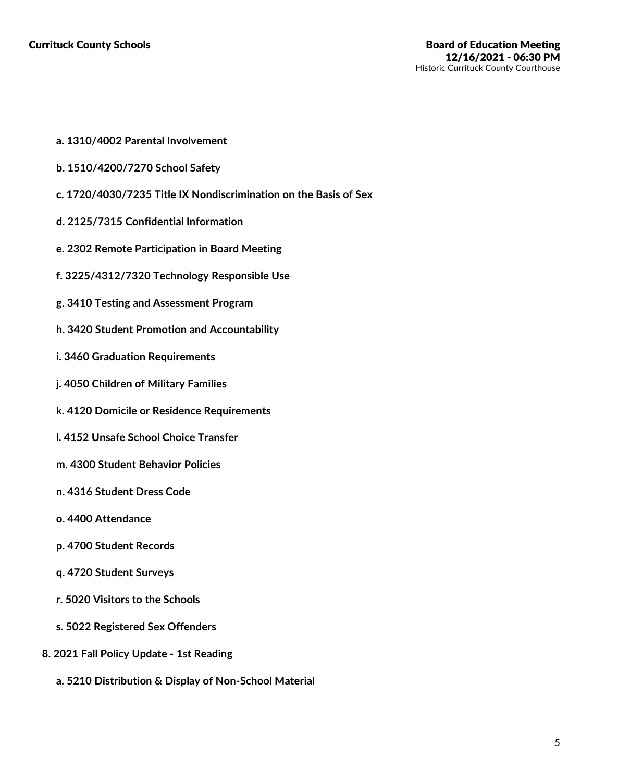- **a. 1310/4002 Parental Involvement**
- **b. 1510/4200/7270 School Safety**
- **c. 1720/4030/7235 Title IX Nondiscrimination on the Basis of Sex**
- **d. 2125/7315 Confidential Information**
- **e. 2302 Remote Participation in Board Meeting**
- **f. 3225/4312/7320 Technology Responsible Use**
- **g. 3410 Testing and Assessment Program**
- **h. 3420 Student Promotion and Accountability**
- **i. 3460 Graduation Requirements**
- **j. 4050 Children of Military Families**
- **k. 4120 Domicile or Residence Requirements**
- **l. 4152 Unsafe School Choice Transfer**
- **m. 4300 Student Behavior Policies**
- **n. 4316 Student Dress Code**
- **o. 4400 Attendance**
- **p. 4700 Student Records**
- **q. 4720 Student Surveys**
- **r. 5020 Visitors to the Schools**
- **s. 5022 Registered Sex Offenders**
- **8. 2021 Fall Policy Update -1st Reading**
	- **a. 5210 Distribution & Display of Non-School Material**